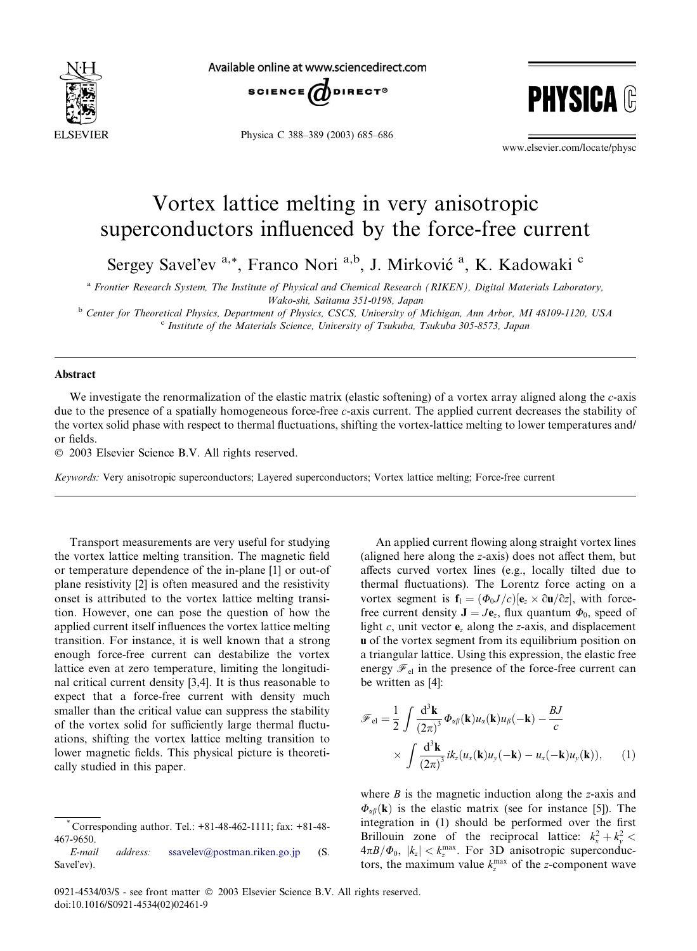

Available online at www.sciencedirect.com



Physica C 388–389 (2003) 685–686



www.elsevier.com/locate/physc

## Vortex lattice melting in very anisotropic superconductors influenced by the force-free current

Sergey Savel'ev <sup>a,\*</sup>, Franco Nori <sup>a,b</sup>, J. Mirković <sup>a</sup>, K. Kadowaki <sup>c</sup>

a Frontier Research System, The Institute of Physical and Chemical Research (RIKEN), Digital Materials Laboratory, Wako-shi, Saitama 351-0198, Japan

<sup>b</sup> Center for Theoretical Physics, Department of Physics, CSCS, University of Michigan, Ann Arbor, MI 48109-1120, USA <sup>c</sup> Institute of the Materials Science, University of Tsukuba, Tsukuba 305-8573, Japan

## Abstract

We investigate the renormalization of the elastic matrix (elastic softening) of a vortex array aligned along the c-axis due to the presence of a spatially homogeneous force-free c-axis current. The applied current decreases the stability of the vortex solid phase with respect to thermal fluctuations, shifting the vortex-lattice melting to lower temperatures and/ or fields.

2003 Elsevier Science B.V. All rights reserved.

Keywords: Very anisotropic superconductors; Layered superconductors; Vortex lattice melting; Force-free current

Transport measurements are very useful for studying the vortex lattice melting transition. The magnetic field or temperature dependence of the in-plane [1] or out-of plane resistivity [2] is often measured and the resistivity onset is attributed to the vortex lattice melting transition. However, one can pose the question of how the applied current itself influences the vortex lattice melting transition. For instance, it is well known that a strong enough force-free current can destabilize the vortex lattice even at zero temperature, limiting the longitudinal critical current density [3,4]. It is thus reasonable to expect that a force-free current with density much smaller than the critical value can suppress the stability of the vortex solid for sufficiently large thermal fluctuations, shifting the vortex lattice melting transition to lower magnetic fields. This physical picture is theoretically studied in this paper.

An applied current flowing along straight vortex lines (aligned here along the z-axis) does not affect them, but affects curved vortex lines (e.g., locally tilted due to thermal fluctuations). The Lorentz force acting on a vortex segment is  $f_1 = (\Phi_0 J/c)[e_z \times \partial u/\partial z]$ , with forcefree current density  $\mathbf{J} = J\mathbf{e}_z$ , flux quantum  $\Phi_0$ , speed of light  $c$ , unit vector  $e_z$  along the z-axis, and displacement u of the vortex segment from its equilibrium position on a triangular lattice. Using this expression, the elastic free energy  $\mathcal{F}_{el}$  in the presence of the force-free current can be written as [4]:

$$
\mathscr{F}_{el} = \frac{1}{2} \int \frac{d^3 \mathbf{k}}{(2\pi)^3} \Phi_{\alpha\beta}(\mathbf{k}) u_{\alpha}(\mathbf{k}) u_{\beta}(-\mathbf{k}) - \frac{BJ}{c}
$$

$$
\times \int \frac{d^3 \mathbf{k}}{(2\pi)^3} i k_z(u_x(\mathbf{k}) u_y(-\mathbf{k}) - u_x(-\mathbf{k}) u_y(\mathbf{k})), \qquad (1)
$$

where  $B$  is the magnetic induction along the z-axis and  $\Phi_{\alpha\beta}(\mathbf{k})$  is the elastic matrix (see for instance [5]). The integration in (1) should be performed over the first Brillouin zone of the reciprocal lattice:  $k_x^2 + k_y^2$  $4\pi B/\Phi_0$ ,  $|k_z| < k_z^{\text{max}}$ . For 3D anisotropic superconductors, the maximum value  $k_2^{\text{max}}$  of the z-component wave

<sup>\*</sup> Corresponding author. Tel.: +81-48-462-1111; fax: +81-48- 467-9650.

E-mail address: [ssavelev@postman.riken.go.jp](mail to: ssavelev@postman.riken.go.jp) (S. Savel'ev).